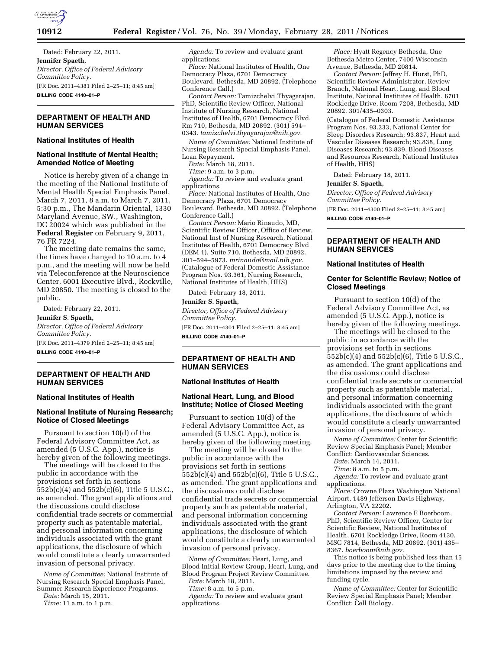

Dated: February 22, 2011. **Jennifer Spaeth,**  *Director, Office of Federal Advisory Committee Policy.*  [FR Doc. 2011–4381 Filed 2–25–11; 8:45 am] **BILLING CODE 4140–01–P** 

# **DEPARTMENT OF HEALTH AND HUMAN SERVICES**

## **National Institutes of Health**

## **National Institute of Mental Health; Amended Notice of Meeting**

Notice is hereby given of a change in the meeting of the National Institute of Mental Health Special Emphasis Panel, March 7, 2011, 8 a.m. to March 7, 2011, 5:30 p.m., The Mandarin Oriental, 1330 Maryland Avenue, SW., Washington, DC 20024 which was published in the **Federal Register** on February 9, 2011, 76 FR 7224.

The meeting date remains the same, the times have changed to 10 a.m. to 4 p.m., and the meeting will now be held via Teleconference at the Neuroscience Center, 6001 Executive Blvd., Rockville, MD 20850. The meeting is closed to the public.

Dated: February 22, 2011. **Jennifer S. Spaeth,**  *Director, Office of Federal Advisory Committee Policy.*  [FR Doc. 2011–4379 Filed 2–25–11; 8:45 am] **BILLING CODE 4140–01–P** 

# **DEPARTMENT OF HEALTH AND HUMAN SERVICES**

### **National Institutes of Health**

### **National Institute of Nursing Research; Notice of Closed Meetings**

Pursuant to section 10(d) of the Federal Advisory Committee Act, as amended (5 U.S.C. App.), notice is hereby given of the following meetings.

The meetings will be closed to the public in accordance with the provisions set forth in sections 552b(c)(4) and 552b(c)(6), Title 5 U.S.C., as amended. The grant applications and the discussions could disclose confidential trade secrets or commercial property such as patentable material, and personal information concerning individuals associated with the grant applications, the disclosure of which would constitute a clearly unwarranted invasion of personal privacy.

*Name of Committee:* National Institute of Nursing Research Special Emphasis Panel, Summer Research Experience Programs.

*Date:* March 15, 2011. *Time:* 11 a.m. to 1 p.m.

*Agenda:* To review and evaluate grant applications.

*Place:* National Institutes of Health, One Democracy Plaza, 6701 Democracy Boulevard, Bethesda, MD 20892. (Telephone Conference Call.)

*Contact Person:* Tamizchelvi Thyagarajan, PhD, Scientific Review Officer, National Institute of Nursing Research, National Institutes of Health, 6701 Democracy Blvd, Rm 710, Bethesda, MD 20892. (301) 594– 0343. *[tamizchelvi.thyagarajan@nih.gov.](mailto:tamizchelvi.thyagarajan@nih.gov)* 

*Name of Committee:* National Institute of Nursing Research Special Emphasis Panel, Loan Repayment.

*Date:* March 18, 2011.

*Time:* 9 a.m. to 3 p.m.

*Agenda:* To review and evaluate grant applications.

*Place:* National Institutes of Health, One Democracy Plaza, 6701 Democracy Boulevard, Bethesda, MD 20892. (Telephone Conference Call.)

*Contact Person:* Mario Rinaudo, MD, Scientific Review Officer, Office of Review, National Inst of Nursing Research, National Institutes of Health, 6701 Democracy Blvd (DEM 1), Suite 710, Bethesda, MD 20892. 301–594–5973. *[mrinaudo@mail.nih.gov.](mailto:mrinaudo@mail.nih.gov)*  (Catalogue of Federal Domestic Assistance Program Nos. 93.361, Nursing Research, National Institutes of Health, HHS)

Dated: February 18, 2011.

#### **Jennifer S. Spaeth,**

*Director, Office of Federal Advisory Committee Policy.* 

[FR Doc. 2011–4301 Filed 2–25–11; 8:45 am] **BILLING CODE 4140–01–P** 

## **DEPARTMENT OF HEALTH AND HUMAN SERVICES**

#### **National Institutes of Health**

### **National Heart, Lung, and Blood Institute; Notice of Closed Meeting**

Pursuant to section 10(d) of the Federal Advisory Committee Act, as amended (5 U.S.C. App.), notice is hereby given of the following meeting.

The meeting will be closed to the public in accordance with the provisions set forth in sections 552b(c)(4) and 552b(c)(6), Title 5 U.S.C., as amended. The grant applications and the discussions could disclose confidential trade secrets or commercial property such as patentable material, and personal information concerning individuals associated with the grant applications, the disclosure of which would constitute a clearly unwarranted invasion of personal privacy.

*Name of Committee:* Heart, Lung, and Blood Initial Review Group, Heart, Lung, and Blood Program Project Review Committee.

*Date:* March 18, 2011.

*Time:* 8 a.m. to 5 p.m.

*Agenda:* To review and evaluate grant applications.

*Place:* Hyatt Regency Bethesda, One Bethesda Metro Center, 7400 Wisconsin Avenue, Bethesda, MD 20814.

*Contact Person:* Jeffrey H. Hurst, PhD, Scientific Review Administrator, Review Branch, National Heart, Lung, and Blood Institute, National Institutes of Health, 6701 Rockledge Drive, Room 7208, Bethesda, MD 20892. 301/435–0303.

(Catalogue of Federal Domestic Assistance Program Nos. 93.233, National Center for Sleep Disorders Research; 93.837, Heart and Vascular Diseases Research; 93.838, Lung Diseases Research; 93.839, Blood Diseases and Resources Research, National Institutes of Health, HHS)

Dated: February 18, 2011.

#### **Jennifer S. Spaeth,**

*Director, Office of Federal Advisory Committee Policy.* 

[FR Doc. 2011–4300 Filed 2–25–11; 8:45 am] **BILLING CODE 4140–01–P** 

**DEPARTMENT OF HEALTH AND HUMAN SERVICES** 

#### **National Institutes of Health**

## **Center for Scientific Review; Notice of Closed Meetings**

Pursuant to section 10(d) of the Federal Advisory Committee Act, as amended (5 U.S.C. App.), notice is hereby given of the following meetings.

The meetings will be closed to the public in accordance with the provisions set forth in sections 552b(c)(4) and 552b(c)(6), Title 5 U.S.C., as amended. The grant applications and the discussions could disclose confidential trade secrets or commercial property such as patentable material, and personal information concerning individuals associated with the grant applications, the disclosure of which would constitute a clearly unwarranted invasion of personal privacy.

*Name of Committee:* Center for Scientific Review Special Emphasis Panel; Member Conflict: Cardiovascular Sciences.

*Date:* March 14, 2011.

*Time:* 8 a.m. to 5 p.m.

*Agenda:* To review and evaluate grant applications.

*Place:* Crowne Plaza Washington National Airport, 1489 Jefferson Davis Highway, Arlington, VA 22202.

*Contact Person:* Lawrence E Boerboom, PhD, Scientific Review Officer, Center for Scientific Review, National Institutes of Health, 6701 Rockledge Drive, Room 4130, MSC 7814, Bethesda, MD 20892. (301) 435– 8367. *[boerboom@nih.gov.](mailto:boerboom@nih.gov)* 

This notice is being published less than 15 days prior to the meeting due to the timing limitations imposed by the review and funding cycle.

*Name of Committee:* Center for Scientific Review Special Emphasis Panel; Member Conflict: Cell Biology.